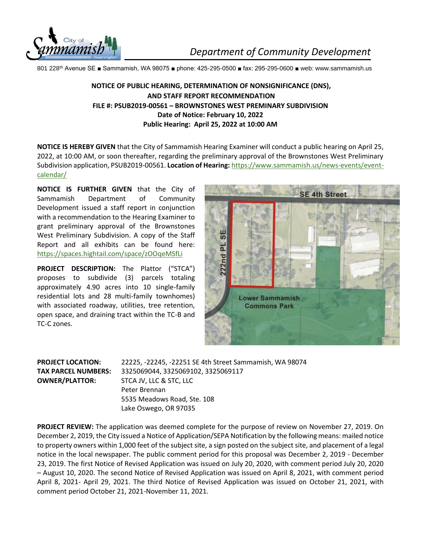

*Department of Community Development* 

801 228th Avenue SE ■ Sammamish, WA 98075 ■ phone: 425-295-0500 ■ fax: 295-295-0600 ■ web: www.sammamish.us

## **NOTICE OF PUBLIC HEARING, DETERMINATION OF NONSIGNIFICANCE (DNS), AND STAFF REPORT RECOMMENDATION FILE #: PSUB2019-00561 – BROWNSTONES WEST PREMINARY SUBDIVISION Date of Notice: February 10, 2022 Public Hearing: April 25, 2022 at 10:00 AM**

**NOTICE IS HEREBY GIVEN** that the City of Sammamish Hearing Examiner will conduct a public hearing on April 25, 2022, at 10:00 AM, or soon thereafter, regarding the preliminary approval of the Brownstones West Preliminary Subdivision application, PSUB2019-00561. **Location of Hearing:** [https://www.sammamish.us/news-events/event](https://www.sammamish.us/news-events/event-calendar/)[calendar/](https://www.sammamish.us/news-events/event-calendar/)

**NOTICE IS FURTHER GIVEN** that the City of Sammamish Department of Community Development issued a staff report in conjunction with a recommendation to the Hearing Examiner to grant preliminary approval of the Brownstones West Preliminary Subdivision. A copy of the Staff Report and all exhibits can be found here: <https://spaces.hightail.com/space/zOOqeMSfLi>

**PROJECT DESCRIPTION:** The Plattor ("STCA") proposes to subdivide (3) parcels totaling approximately 4.90 acres into 10 single-family residential lots and 28 multi-family townhomes) with associated roadway, utilities, tree retention, open space, and draining tract within the TC-B and TC-C zones.



**PROJECT LOCATION:** 22225, -22245, -22251 SE 4th Street Sammamish, WA 98074 **TAX PARCEL NUMBERS:** 3325069044, 3325069102, 3325069117 **OWNER/PLATTOR:** STCA JV, LLC & STC, LLC Peter Brennan 5535 Meadows Road, Ste. 108 Lake Oswego, OR 97035

**PROJECT REVIEW:** The application was deemed complete for the purpose of review on November 27, 2019. On December 2, 2019, the City issued a Notice of Application/SEPA Notification by the following means: mailed notice to property owners within 1,000 feet of the subject site, a sign posted on the subject site, and placement of a legal notice in the local newspaper. The public comment period for this proposal was December 2, 2019 - December 23, 2019. The first Notice of Revised Application was issued on July 20, 2020, with comment period July 20, 2020 – August 10, 2020. The second Notice of Revised Application was issued on April 8, 2021, with comment period April 8, 2021- April 29, 2021. The third Notice of Revised Application was issued on October 21, 2021, with comment period October 21, 2021-November 11, 2021.